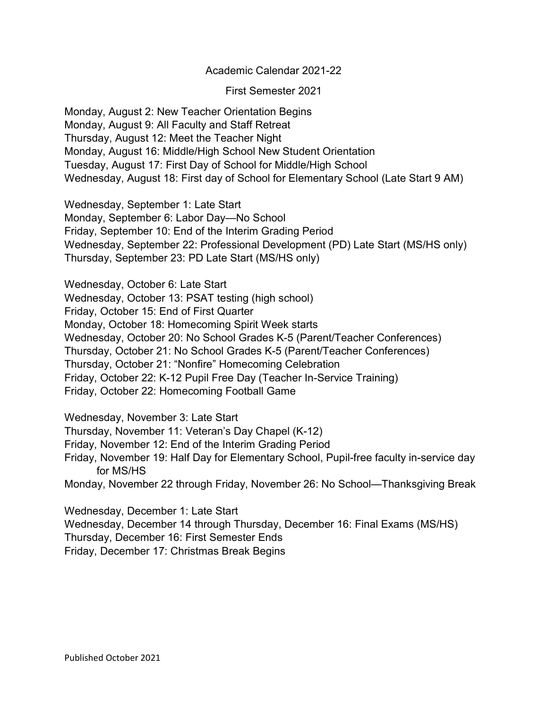Academic Calendar 2021-22

First Semester 2021

Monday, August 2: New Teacher Orientation Begins Monday, August 9: All Faculty and Staff Retreat Thursday, August 12: Meet the Teacher Night Monday, August 16: Middle/High School New Student Orientation Tuesday, August 17: First Day of School for Middle/High School Wednesday, August 18: First day of School for Elementary School (Late Start 9 AM)

Wednesday, September 1: Late Start Monday, September 6: Labor Day—No School Friday, September 10: End of the Interim Grading Period Wednesday, September 22: Professional Development (PD) Late Start (MS/HS only) Thursday, September 23: PD Late Start (MS/HS only)

Wednesday, October 6: Late Start Wednesday, October 13: PSAT testing (high school) Friday, October 15: End of First Quarter Monday, October 18: Homecoming Spirit Week starts Wednesday, October 20: No School Grades K-5 (Parent/Teacher Conferences) Thursday, October 21: No School Grades K-5 (Parent/Teacher Conferences) Thursday, October 21: "Nonfire" Homecoming Celebration Friday, October 22: K-12 Pupil Free Day (Teacher In-Service Training) Friday, October 22: Homecoming Football Game

Wednesday, November 3: Late Start

Thursday, November 11: Veteran's Day Chapel (K-12)

Friday, November 12: End of the Interim Grading Period

Friday, November 19: Half Day for Elementary School, Pupil-free faculty in-service day for MS/HS

Monday, November 22 through Friday, November 26: No School—Thanksgiving Break

Wednesday, December 1: Late Start Wednesday, December 14 through Thursday, December 16: Final Exams (MS/HS) Thursday, December 16: First Semester Ends Friday, December 17: Christmas Break Begins